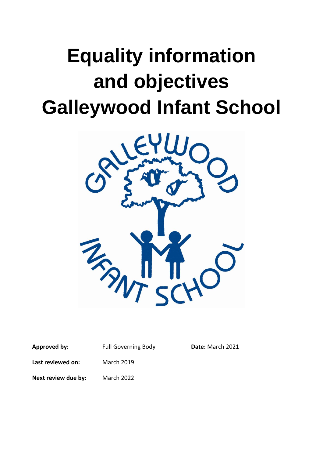# **Equality information and objectives Galleywood Infant School**



| Approved by:        | <b>Full Governing Body</b> | Date: March 2021 |
|---------------------|----------------------------|------------------|
| Last reviewed on:   | <b>March 2019</b>          |                  |
| Next review due by: | <b>March 2022</b>          |                  |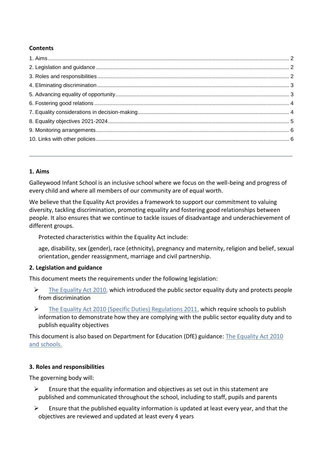## **Contents**

## <span id="page-1-0"></span>**1. Aims**

Galleywood Infant School is an inclusive school where we focus on the well-being and progress of every child and where all members of our community are of equal worth.

We believe that the Equality Act provides a framework to support our commitment to valuing diversity, tackling discrimination, promoting equality and fostering good relationships between people. It also ensures that we continue to tackle issues of disadvantage and underachievement of different groups.

Protected characteristics within the Equality Act include:

age, disability, sex (gender), race (ethnicity), pregnancy and maternity, religion and belief, sexual orientation, gender reassignment, marriage and civil partnership.

## <span id="page-1-1"></span>**2. Legislation and guidance**

This document meets the requirements under the following legislation:

- $\triangleright$  [The Equality Act 2010,](http://www.legislation.gov.uk/ukpga/2010/15/contents) which introduced the public sector equality duty and protects people from discrimination
- ➢ [The Equality Act 2010 \(Specific Duties\) Regulations 2011,](http://www.legislation.gov.uk/uksi/2011/2260/contents/made) which require schools to publish information to demonstrate how they are complying with the public sector equality duty and to publish equality objectives

This document is also based on Department for Education (DfE) guidance: [The Equality Act 2010](https://www.gov.uk/government/publications/equality-act-2010-advice-for-schools)  [and schools.](https://www.gov.uk/government/publications/equality-act-2010-advice-for-schools) 

## <span id="page-1-2"></span>**3. Roles and responsibilities**

The governing body will:

- $\triangleright$  Ensure that the equality information and objectives as set out in this statement are published and communicated throughout the school, including to staff, pupils and parents
- $\triangleright$  Ensure that the published equality information is updated at least every year, and that the objectives are reviewed and updated at least every 4 years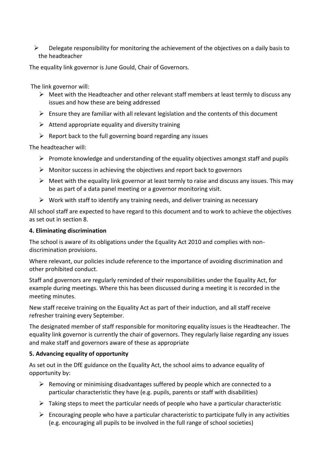$\triangleright$  Delegate responsibility for monitoring the achievement of the objectives on a daily basis to the headteacher

The equality link governor is June Gould, Chair of Governors.

The link governor will:

- $\triangleright$  Meet with the Headteacher and other relevant staff members at least termly to discuss any issues and how these are being addressed
- $\triangleright$  Ensure they are familiar with all relevant legislation and the contents of this document
- $\triangleright$  Attend appropriate equality and diversity training
- $\triangleright$  Report back to the full governing board regarding any issues

The headteacher will:

- $\triangleright$  Promote knowledge and understanding of the equality objectives amongst staff and pupils
- $\triangleright$  Monitor success in achieving the objectives and report back to governors
- $\triangleright$  Meet with the equality link governor at least termly to raise and discuss any issues. This may be as part of a data panel meeting or a governor monitoring visit.
- $\triangleright$  Work with staff to identify any training needs, and deliver training as necessary

All school staff are expected to have regard to this document and to work to achieve the objectives as set out in section 8.

#### <span id="page-2-0"></span>**4. Eliminating discrimination**

The school is aware of its obligations under the Equality Act 2010 and complies with nondiscrimination provisions.

Where relevant, our policies include reference to the importance of avoiding discrimination and other prohibited conduct.

Staff and governors are regularly reminded of their responsibilities under the Equality Act, for example during meetings. Where this has been discussed during a meeting it is recorded in the meeting minutes.

New staff receive training on the Equality Act as part of their induction, and all staff receive refresher training every September.

The designated member of staff responsible for monitoring equality issues is the Headteacher. The equality link governor is currently the chair of governors. They regularly liaise regarding any issues and make staff and governors aware of these as appropriate

#### <span id="page-2-1"></span>**5. Advancing equality of opportunity**

As set out in the DfE guidance on the Equality Act, the school aims to advance equality of opportunity by:

- $\triangleright$  Removing or minimising disadvantages suffered by people which are connected to a particular characteristic they have (e.g. pupils, parents or staff with disabilities)
- $\triangleright$  Taking steps to meet the particular needs of people who have a particular characteristic
- $\triangleright$  Encouraging people who have a particular characteristic to participate fully in any activities (e.g. encouraging all pupils to be involved in the full range of school societies)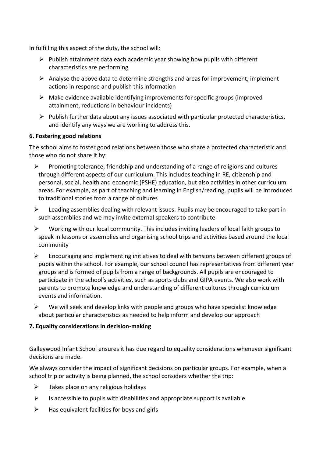In fulfilling this aspect of the duty, the school will:

- $\triangleright$  Publish attainment data each academic year showing how pupils with different characteristics are performing
- $\triangleright$  Analyse the above data to determine strengths and areas for improvement, implement actions in response and publish this information
- $\triangleright$  Make evidence available identifying improvements for specific groups (improved attainment, reductions in behaviour incidents)
- $\triangleright$  Publish further data about any issues associated with particular protected characteristics, and identify any ways we are working to address this.

### <span id="page-3-0"></span>**6. Fostering good relations**

The school aims to foster good relations between those who share a protected characteristic and those who do not share it by:

- ➢ Promoting tolerance, friendship and understanding of a range of religions and cultures through different aspects of our curriculum. This includes teaching in RE, citizenship and personal, social, health and economic (PSHE) education, but also activities in other curriculum areas. For example, as part of teaching and learning in English/reading, pupils will be introduced to traditional stories from a range of cultures
- $\triangleright$  Leading assemblies dealing with relevant issues. Pupils may be encouraged to take part in such assemblies and we may invite external speakers to contribute
- ➢ Working with our local community. This includes inviting leaders of local faith groups to speak in lessons or assemblies and organising school trips and activities based around the local community
- $\triangleright$  Encouraging and implementing initiatives to deal with tensions between different groups of pupils within the school. For example, our school council has representatives from different year groups and is formed of pupils from a range of backgrounds. All pupils are encouraged to participate in the school's activities, such as sports clubs and GIPA events. We also work with parents to promote knowledge and understanding of different cultures through curriculum events and information.
- $\triangleright$  We will seek and develop links with people and groups who have specialist knowledge about particular characteristics as needed to help inform and develop our approach

## <span id="page-3-1"></span>**7. Equality considerations in decision-making**

Galleywood Infant School ensures it has due regard to equality considerations whenever significant decisions are made.

We always consider the impact of significant decisions on particular groups. For example, when a school trip or activity is being planned, the school considers whether the trip:

- $\triangleright$  Takes place on any religious holidays
- $\triangleright$  Is accessible to pupils with disabilities and appropriate support is available
- $\triangleright$  Has equivalent facilities for boys and girls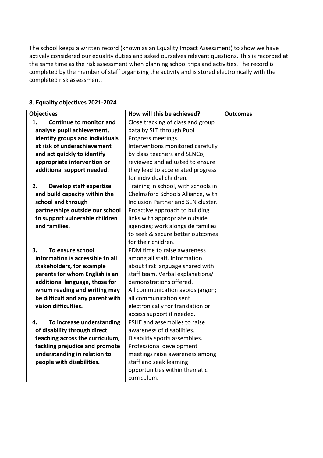The school keeps a written record (known as an Equality Impact Assessment) to show we have actively considered our equality duties and asked ourselves relevant questions. This is recorded at the same time as the risk assessment when planning school trips and activities. The record is completed by the member of staff organising the activity and is stored electronically with the completed risk assessment.

| <b>Objectives</b>                    | How will this be achieved?          | <b>Outcomes</b> |
|--------------------------------------|-------------------------------------|-----------------|
| 1.<br><b>Continue to monitor and</b> | Close tracking of class and group   |                 |
| analyse pupil achievement,           | data by SLT through Pupil           |                 |
| identify groups and individuals      | Progress meetings.                  |                 |
| at risk of underachievement          | Interventions monitored carefully   |                 |
| and act quickly to identify          | by class teachers and SENCo,        |                 |
| appropriate intervention or          | reviewed and adjusted to ensure     |                 |
| additional support needed.           | they lead to accelerated progress   |                 |
|                                      | for individual children.            |                 |
| 2.<br><b>Develop staff expertise</b> | Training in school, with schools in |                 |
| and build capacity within the        | Chelmsford Schools Alliance, with   |                 |
| school and through                   | Inclusion Partner and SEN cluster.  |                 |
| partnerships outside our school      | Proactive approach to building      |                 |
| to support vulnerable children       | links with appropriate outside      |                 |
| and families.                        | agencies; work alongside families   |                 |
|                                      | to seek & secure better outcomes    |                 |
|                                      | for their children.                 |                 |
| To ensure school<br>3.               | PDM time to raise awareness         |                 |
| information is accessible to all     | among all staff. Information        |                 |
| stakeholders, for example            | about first language shared with    |                 |
| parents for whom English is an       | staff team. Verbal explanations/    |                 |
| additional language, those for       | demonstrations offered.             |                 |
| whom reading and writing may         | All communication avoids jargon;    |                 |
| be difficult and any parent with     | all communication sent              |                 |
| vision difficulties.                 | electronically for translation or   |                 |
|                                      | access support if needed.           |                 |
| To increase understanding<br>4.      | PSHE and assemblies to raise        |                 |
| of disability through direct         | awareness of disabilities.          |                 |
| teaching across the curriculum,      | Disability sports assemblies.       |                 |
| tackling prejudice and promote       | Professional development            |                 |
| understanding in relation to         | meetings raise awareness among      |                 |
| people with disabilities.            | staff and seek learning             |                 |
|                                      | opportunities within thematic       |                 |
|                                      | curriculum.                         |                 |

#### <span id="page-4-0"></span>**8. Equality objectives 2021-2024**